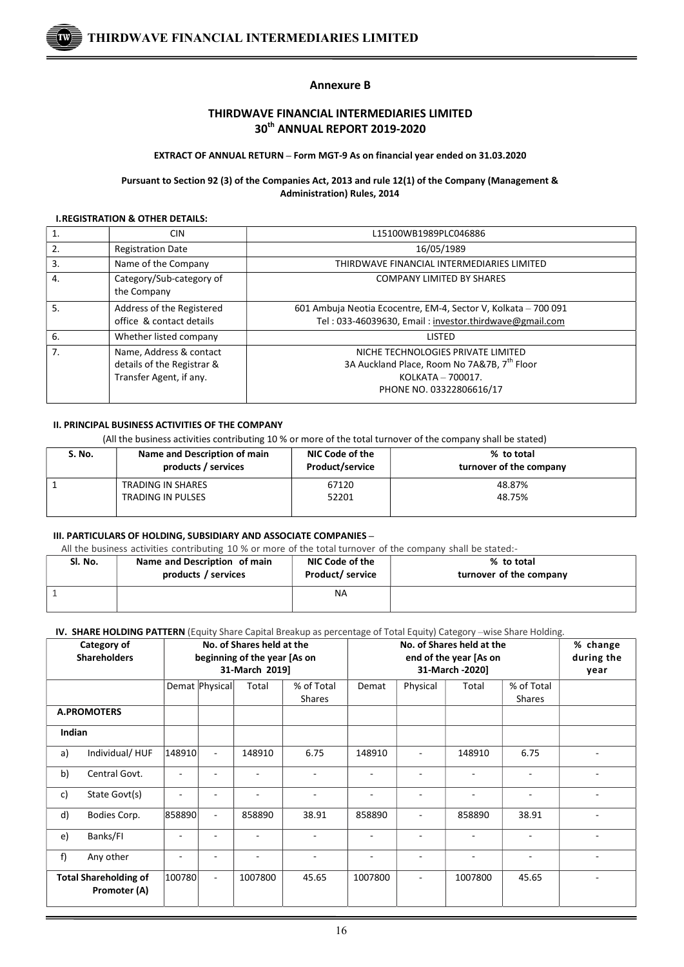

## Annexure B

## THIRDWAVE FINANCIAL INTERMEDIARIES LIMITED 30th ANNUAL REPORT 2019-2020

#### EXTRACT OF ANNUAL RETURN – Form MGT-9 As on financial year ended on 31.03.2020

#### Pursuant to Section 92 (3) of the Companies Act, 2013 and rule 12(1) of the Company (Management & Administration) Rules, 2014

#### I.REGISTRATION & OTHER DETAILS:

 $\overline{a}$ 

| 1. | <b>CIN</b>                                                                       | L15100WB1989PLC046886                                                                                                                          |
|----|----------------------------------------------------------------------------------|------------------------------------------------------------------------------------------------------------------------------------------------|
| 2. | <b>Registration Date</b>                                                         | 16/05/1989                                                                                                                                     |
| 3. | Name of the Company                                                              | THIRDWAVE FINANCIAL INTERMEDIARIES LIMITED                                                                                                     |
| 4. | Category/Sub-category of<br>the Company                                          | <b>COMPANY LIMITED BY SHARES</b>                                                                                                               |
| 5. | Address of the Registered<br>office & contact details                            | 601 Ambuja Neotia Ecocentre, EM-4, Sector V, Kolkata - 700 091<br>Tel: 033-46039630, Email: investor.thirdwave@gmail.com                       |
| 6. | Whether listed company                                                           | <b>LISTED</b>                                                                                                                                  |
| 7. | Name, Address & contact<br>details of the Registrar &<br>Transfer Agent, if any. | NICHE TECHNOLOGIES PRIVATE LIMITED<br>3A Auckland Place, Room No 7A&7B, 7 <sup>th</sup> Floor<br>KOLKATA - 700017.<br>PHONE NO. 03322806616/17 |

## II. PRINCIPAL BUSINESS ACTIVITIES OF THE COMPANY

(All the business activities contributing 10 % or more of the total turnover of the company shall be stated)

| S. No. | Name and Description of main<br>products / services | NIC Code of the<br><b>Product/service</b> | % to total<br>turnover of the company |
|--------|-----------------------------------------------------|-------------------------------------------|---------------------------------------|
|        | TRADING IN SHARES                                   | 67120                                     | 48.87%                                |
|        | <b>TRADING IN PULSES</b>                            | 52201                                     | 48.75%                                |

## III. PARTICULARS OF HOLDING, SUBSIDIARY AND ASSOCIATE COMPANIES –

All the business activities contributing 10 % or more of the total turnover of the company shall be stated:-

| Sl. No. | Name and Description of main | NIC Code of the        | % to total              |
|---------|------------------------------|------------------------|-------------------------|
|         | products / services          | <b>Product/service</b> | turnover of the company |
|         |                              | NA                     |                         |

#### IV. SHARE HOLDING PATTERN (Equity Share Capital Breakup as percentage of Total Equity) Category –wise Share Holding.

|        | <b>The Survey Hotphase Printens</b> (Equity Share Capital Breakap as percentage of Total Equity) category - which share Holding.<br><b>Category of</b><br><b>Shareholders</b> |        | No. of Shares held at the<br>beginning of the year [As on<br>31-March 2019] |         |                      | No. of Shares held at the<br>end of the year [As on<br>31-March -2020] |          |                          |                             | % change<br>during the<br>year |
|--------|-------------------------------------------------------------------------------------------------------------------------------------------------------------------------------|--------|-----------------------------------------------------------------------------|---------|----------------------|------------------------------------------------------------------------|----------|--------------------------|-----------------------------|--------------------------------|
|        |                                                                                                                                                                               |        | Demat Physical                                                              | Total   | % of Total<br>Shares | Demat                                                                  | Physical | Total                    | % of Total<br><b>Shares</b> |                                |
|        | <b>A.PROMOTERS</b>                                                                                                                                                            |        |                                                                             |         |                      |                                                                        |          |                          |                             |                                |
| Indian |                                                                                                                                                                               |        |                                                                             |         |                      |                                                                        |          |                          |                             |                                |
| a)     | Individual/HUF                                                                                                                                                                | 148910 | $\blacksquare$                                                              | 148910  | 6.75                 | 148910                                                                 | ٠        | 148910                   | 6.75                        |                                |
| b)     | Central Govt.                                                                                                                                                                 |        |                                                                             |         |                      | ۰                                                                      | ٠        | ٠                        | $\overline{a}$              |                                |
| c)     | State Govt(s)                                                                                                                                                                 |        |                                                                             |         |                      |                                                                        |          | ٠                        | $\blacksquare$              |                                |
| d)     | Bodies Corp.                                                                                                                                                                  | 858890 | $\overline{\phantom{a}}$                                                    | 858890  | 38.91                | 858890                                                                 | ٠        | 858890                   | 38.91                       |                                |
| e)     | Banks/FI                                                                                                                                                                      |        | ٠                                                                           |         |                      |                                                                        | ٠        | $\overline{\phantom{m}}$ |                             |                                |
| f)     | Any other                                                                                                                                                                     |        |                                                                             |         |                      |                                                                        |          |                          |                             |                                |
|        | <b>Total Shareholding of</b><br>Promoter (A)                                                                                                                                  | 100780 | $\blacksquare$                                                              | 1007800 | 45.65                | 1007800                                                                | ٠        | 1007800                  | 45.65                       |                                |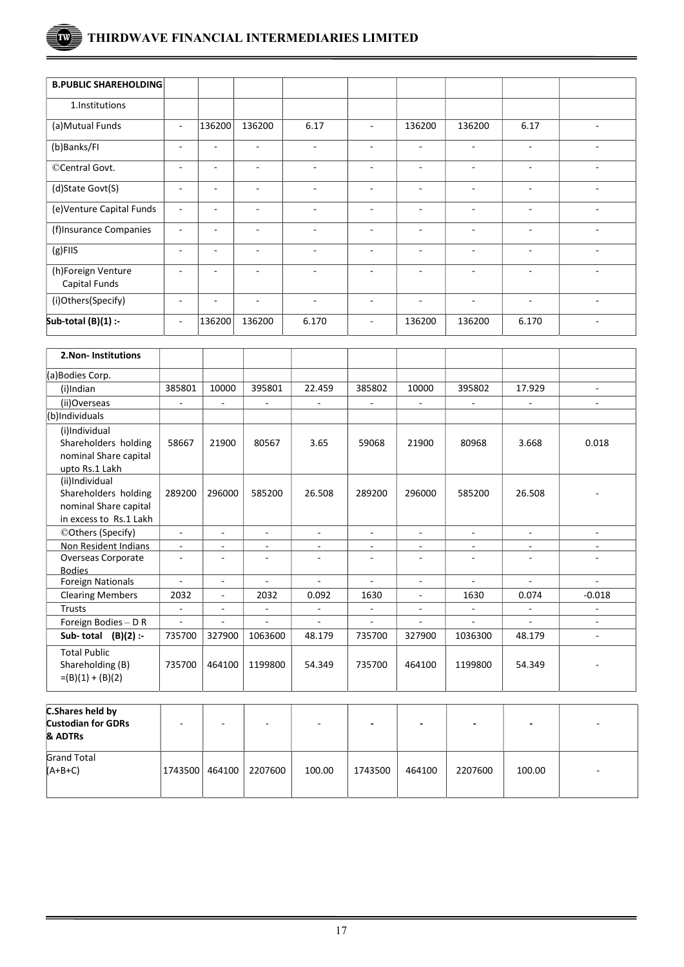# THIRDWAVE FINANCIAL INTERMEDIARIES LIMITED

 $\overline{a}$ 

 $\overline{\text{Tw}}$ 

| <b>B.PUBLIC SHAREHOLDING</b>               |                          |                          |                          |                          |                          |                          |                          |                          |        |
|--------------------------------------------|--------------------------|--------------------------|--------------------------|--------------------------|--------------------------|--------------------------|--------------------------|--------------------------|--------|
| 1.Institutions                             |                          |                          |                          |                          |                          |                          |                          |                          |        |
| (a) Mutual Funds                           | $\overline{\phantom{a}}$ | 136200                   | 136200                   | 6.17                     |                          | 136200                   | 136200                   | 6.17                     |        |
| (b)Banks/FI                                | $\overline{\phantom{a}}$ | $\overline{\phantom{0}}$ | ٠                        | $\overline{\phantom{a}}$ | ۰                        | ٠                        | ٠                        | ٠                        |        |
| ©Central Govt.                             | $\overline{\phantom{a}}$ | ٠                        | $\overline{\phantom{a}}$ | $\overline{\phantom{a}}$ | $\overline{\phantom{a}}$ | ۰                        | $\overline{\phantom{a}}$ | $\overline{\phantom{a}}$ | ٠      |
| (d)State Govt(S)                           | $\overline{\phantom{a}}$ | $\overline{\phantom{a}}$ | $\overline{\phantom{a}}$ | ٠                        | $\overline{\phantom{a}}$ | $\sim$                   | $\overline{\phantom{a}}$ | $\overline{\phantom{a}}$ | $\sim$ |
| (e)Venture Capital Funds                   | $\overline{\phantom{a}}$ | $\overline{\phantom{a}}$ | $\overline{\phantom{a}}$ | $\overline{\phantom{a}}$ | $\overline{\phantom{a}}$ | $\sim$                   | $\overline{\phantom{a}}$ | $\overline{\phantom{a}}$ | ٠      |
| (f)Insurance Companies                     | $\blacksquare$           | ٠                        | $\overline{\phantom{a}}$ | $\overline{\phantom{a}}$ | -                        | $\sim$                   | $\overline{\phantom{a}}$ | $\overline{\phantom{a}}$ | ۰      |
| $(g)$ FIIS                                 | ۰                        | $\overline{\phantom{0}}$ | $\overline{\phantom{0}}$ | $\overline{\phantom{m}}$ | $\overline{\phantom{0}}$ | $\overline{\phantom{a}}$ | $\overline{a}$           | ٠                        | ٠      |
| (h)Foreign Venture<br><b>Capital Funds</b> | $\overline{\phantom{a}}$ |                          |                          | ٠                        |                          | ۰                        | ٠                        | $\overline{\phantom{0}}$ |        |
| (i)Others(Specify)                         | $\overline{\phantom{a}}$ | ۰                        | ٠                        | $\overline{\phantom{a}}$ | -                        | ٠                        | $\overline{\phantom{a}}$ | ۰                        | ٠      |
| Sub-total $(B)(1)$ :-                      | $\overline{\phantom{a}}$ | 136200                   | 136200                   | 6.170                    | ۰                        | 136200                   | 136200                   | 6.170                    | ٠      |

| 2. Non-Institutions                                                                       |                |                          |                |                          |                          |                             |                          |                          |                          |
|-------------------------------------------------------------------------------------------|----------------|--------------------------|----------------|--------------------------|--------------------------|-----------------------------|--------------------------|--------------------------|--------------------------|
| (a)Bodies Corp.                                                                           |                |                          |                |                          |                          |                             |                          |                          |                          |
| (i)Indian                                                                                 | 385801         | 10000                    | 395801         | 22.459                   | 385802                   | 10000                       | 395802                   | 17.929                   | $\overline{a}$           |
| (ii)Overseas                                                                              | $\blacksquare$ | $\overline{\phantom{a}}$ | $\blacksquare$ | $\blacksquare$           | $\blacksquare$           | $\mathcal{L}_{\mathcal{A}}$ | $\overline{\phantom{a}}$ | $\blacksquare$           |                          |
| (b)Individuals                                                                            |                |                          |                |                          |                          |                             |                          |                          |                          |
| (i)Individual<br>Shareholders holding<br>nominal Share capital<br>upto Rs.1 Lakh          | 58667          | 21900                    | 80567          | 3.65                     | 59068                    | 21900                       | 80968                    | 3.668                    | 0.018                    |
| (ii)Individual<br>Shareholders holding<br>nominal Share capital<br>in excess to Rs.1 Lakh | 289200         | 296000                   | 585200         | 26.508                   | 289200                   | 296000                      | 585200                   | 26.508                   |                          |
| ©Others (Specify)                                                                         | $\omega$       | $\blacksquare$           | $\sim$         | $\sim$                   | $\blacksquare$           | $\sim$                      | $\blacksquare$           | $\sim$                   | $\sim$                   |
| Non Resident Indians                                                                      | $\blacksquare$ | $\overline{\phantom{a}}$ | ۰              | $\overline{\phantom{a}}$ | $\overline{\phantom{a}}$ | $\overline{\phantom{a}}$    | ۰.                       | $\overline{\phantom{a}}$ | $\overline{\phantom{a}}$ |
| Overseas Corporate<br><b>Bodies</b>                                                       | ٠              | $\blacksquare$           |                | $\overline{a}$           |                          | $\sim$                      |                          |                          |                          |
| <b>Foreign Nationals</b>                                                                  | $\mathbf{r}$   | $\blacksquare$           | $\blacksquare$ | $\sim$                   | $\mathbf{r}$             | $\sim$                      | ÷.                       | $\mathbf{r}$             |                          |
| <b>Clearing Members</b>                                                                   | 2032           | $\blacksquare$           | 2032           | 0.092                    | 1630                     | $\blacksquare$              | 1630                     | 0.074                    | $-0.018$                 |
| Trusts                                                                                    | ÷.             | $\overline{a}$           | ÷.             | ÷.                       | ÷.                       | ÷.                          | $\sim$                   | ÷.                       | $\sim$                   |
| Foreign Bodies - D R                                                                      | $\blacksquare$ | ä,                       | ÷.             | $\blacksquare$           | ÷,                       | ٠                           | ÷,                       | $\overline{a}$           | $\overline{a}$           |
| Sub-total $(B)(2)$ :-                                                                     | 735700         | 327900                   | 1063600        | 48.179                   | 735700                   | 327900                      | 1036300                  | 48.179                   | $\blacksquare$           |
| <b>Total Public</b><br>Shareholding (B)<br>$=(B)(1) + (B)(2)$                             | 735700         | 464100                   | 1199800        | 54.349                   | 735700                   | 464100                      | 1199800                  | 54.349                   |                          |

| C.Shares held by<br><b>Custodian for GDRs</b><br>& ADTRs | -                | ٠ |         | ٠      |         |        |         | -      |        |
|----------------------------------------------------------|------------------|---|---------|--------|---------|--------|---------|--------|--------|
| <b>Grand Total</b><br>$(A+B+C)$                          | 1743500   464100 |   | 2207600 | 100.00 | 1743500 | 464100 | 2207600 | 100.00 | $\sim$ |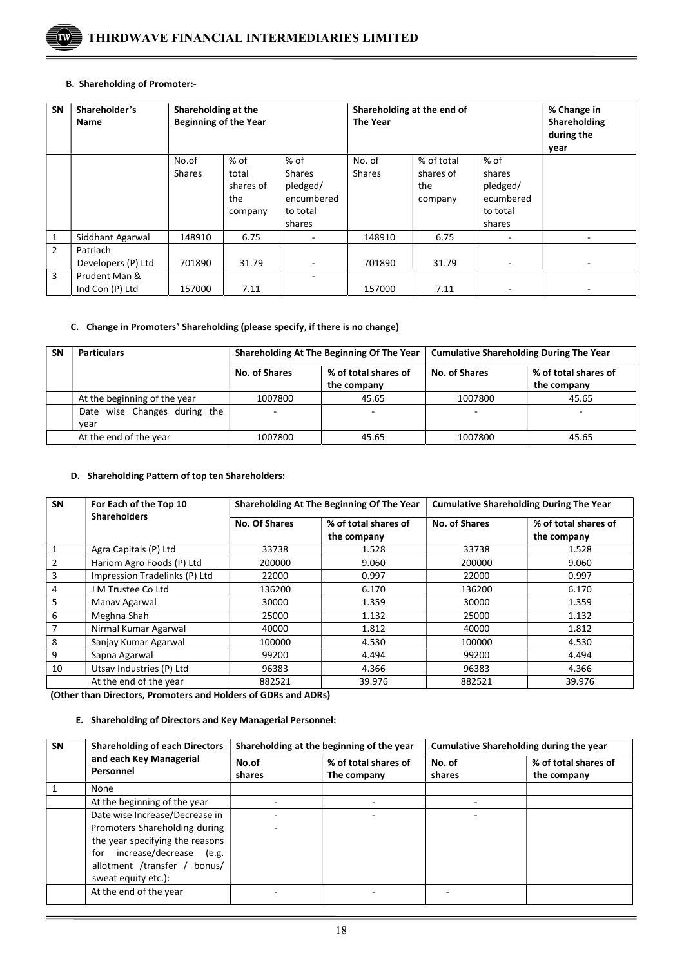

#### B. Shareholding of Promoter:-

| <b>SN</b>      | Shareholder's<br>Name            | Shareholding at the<br><b>Beginning of the Year</b> |                                              |                                                                       | Shareholding at the end of<br><b>The Year</b> |                                           |                                                                 | % Change in<br>Shareholding<br>during the<br>year |
|----------------|----------------------------------|-----------------------------------------------------|----------------------------------------------|-----------------------------------------------------------------------|-----------------------------------------------|-------------------------------------------|-----------------------------------------------------------------|---------------------------------------------------|
|                |                                  | No.of<br><b>Shares</b>                              | % of<br>total<br>shares of<br>the<br>company | % of<br><b>Shares</b><br>pledged/<br>encumbered<br>to total<br>shares | No. of<br><b>Shares</b>                       | % of total<br>shares of<br>the<br>company | $%$ of<br>shares<br>pledged/<br>ecumbered<br>to total<br>shares |                                                   |
| $\mathbf{1}$   | Siddhant Agarwal                 | 148910                                              | 6.75                                         |                                                                       | 148910                                        | 6.75                                      |                                                                 |                                                   |
| $\overline{2}$ | Patriach<br>Developers (P) Ltd   | 701890                                              | 31.79                                        | $\overline{\phantom{0}}$                                              | 701890                                        | 31.79                                     | $\overline{\phantom{a}}$                                        | $\overline{\phantom{a}}$                          |
| 3              | Prudent Man &<br>Ind Con (P) Ltd | 157000                                              | 7.11                                         |                                                                       | 157000                                        | 7.11                                      |                                                                 |                                                   |

## C. Change in Promoters' Shareholding (please specify, if there is no change)

| <b>SN</b> | <b>Particulars</b>                   |               | Shareholding At The Beginning Of The Year | <b>Cumulative Shareholding During The Year</b> |                                     |  |
|-----------|--------------------------------------|---------------|-------------------------------------------|------------------------------------------------|-------------------------------------|--|
|           |                                      | No. of Shares | % of total shares of<br>the company       | No. of Shares                                  | % of total shares of<br>the company |  |
|           | At the beginning of the year         | 1007800       | 45.65                                     | 1007800                                        | 45.65                               |  |
|           | Date wise Changes during the<br>year |               | ۰                                         |                                                | ۰                                   |  |
|           | At the end of the year               | 1007800       | 45.65                                     | 1007800                                        | 45.65                               |  |

## D. Shareholding Pattern of top ten Shareholders:

| SN             | For Each of the Top 10        |               | Shareholding At The Beginning Of The Year | <b>Cumulative Shareholding During The Year</b> |                      |  |
|----------------|-------------------------------|---------------|-------------------------------------------|------------------------------------------------|----------------------|--|
|                | <b>Shareholders</b>           | No. Of Shares | % of total shares of                      | <b>No. of Shares</b>                           | % of total shares of |  |
|                |                               |               | the company                               |                                                | the company          |  |
| 1              | Agra Capitals (P) Ltd         | 33738         | 1.528                                     | 33738                                          | 1.528                |  |
| $\overline{2}$ | Hariom Agro Foods (P) Ltd     | 200000        | 9.060                                     | 200000                                         | 9.060                |  |
| 3              | Impression Tradelinks (P) Ltd | 22000         | 0.997                                     | 22000                                          | 0.997                |  |
| $\overline{4}$ | J M Trustee Co Ltd            | 136200        | 6.170                                     | 136200                                         | 6.170                |  |
| 5              | Manav Agarwal                 | 30000         | 1.359                                     | 30000                                          | 1.359                |  |
| 6              | Meghna Shah                   | 25000         | 1.132                                     | 25000                                          | 1.132                |  |
| 7              | Nirmal Kumar Agarwal          | 40000         | 1.812                                     | 40000                                          | 1.812                |  |
| 8              | Sanjay Kumar Agarwal          | 100000        | 4.530                                     | 100000                                         | 4.530                |  |
| 9              | Sapna Agarwal                 | 99200         | 4.494                                     | 99200                                          | 4.494                |  |
| 10             | Utsav Industries (P) Ltd      | 96383         | 4.366                                     | 96383                                          | 4.366                |  |
|                | At the end of the year        | 882521        | 39.976                                    | 882521                                         | 39.976               |  |

(Other than Directors, Promoters and Holders of GDRs and ADRs)

## E. Shareholding of Directors and Key Managerial Personnel:

| SN | <b>Shareholding of each Directors</b><br>and each Key Managerial<br>Personnel                                                                                                               |                 | Shareholding at the beginning of the year | <b>Cumulative Shareholding during the year</b> |                                     |  |
|----|---------------------------------------------------------------------------------------------------------------------------------------------------------------------------------------------|-----------------|-------------------------------------------|------------------------------------------------|-------------------------------------|--|
|    |                                                                                                                                                                                             | No.of<br>shares | % of total shares of<br>The company       | No. of<br>shares                               | % of total shares of<br>the company |  |
|    | None                                                                                                                                                                                        |                 |                                           |                                                |                                     |  |
|    | At the beginning of the year                                                                                                                                                                |                 |                                           |                                                |                                     |  |
|    | Date wise Increase/Decrease in<br>Promoters Shareholding during<br>the year specifying the reasons<br>increase/decrease (e.g.<br>for<br>allotment /transfer / bonus/<br>sweat equity etc.): |                 |                                           |                                                |                                     |  |
|    | At the end of the year                                                                                                                                                                      |                 |                                           |                                                |                                     |  |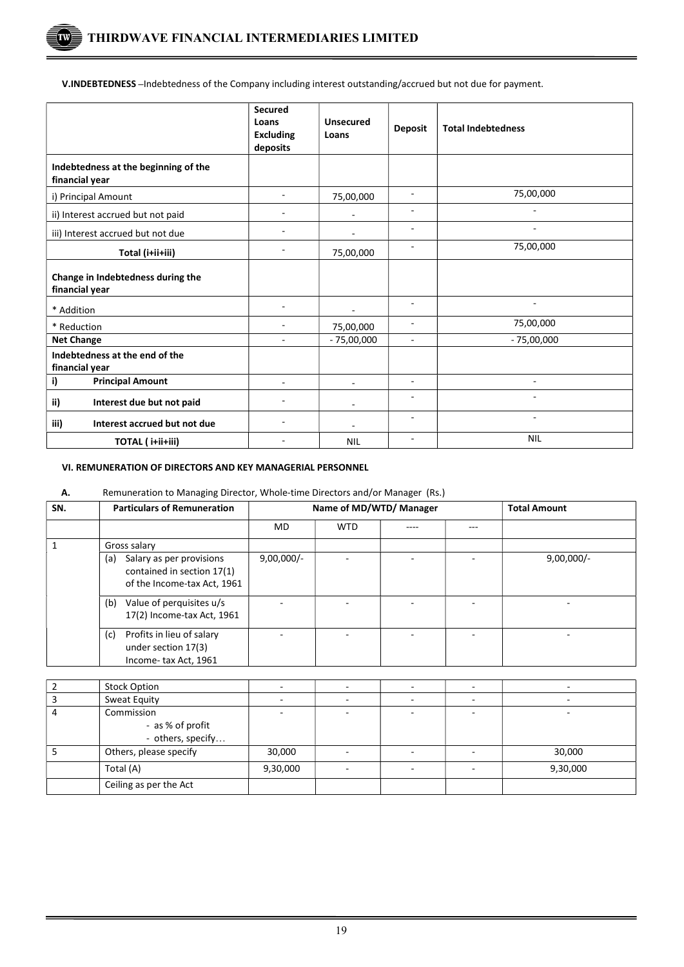$\overline{a}$ 

'TW

V.INDEBTEDNESS –Indebtedness of the Company including interest outstanding/accrued but not due for payment.

|                                                        | <b>Secured</b><br>Loans<br><b>Excluding</b><br>deposits | <b>Unsecured</b><br>Loans | <b>Deposit</b>           | <b>Total Indebtedness</b> |
|--------------------------------------------------------|---------------------------------------------------------|---------------------------|--------------------------|---------------------------|
| Indebtedness at the beginning of the<br>financial year |                                                         |                           |                          |                           |
| i) Principal Amount                                    |                                                         | 75,00,000                 | ÷                        | 75,00,000                 |
| ii) Interest accrued but not paid                      |                                                         | ٠                         | ٠                        |                           |
| iii) Interest accrued but not due                      |                                                         |                           | $\overline{\phantom{a}}$ |                           |
| Total (i+ii+iii)                                       |                                                         | 75,00,000                 | ٠                        | 75,00,000                 |
| Change in Indebtedness during the<br>financial year    |                                                         |                           |                          |                           |
| * Addition                                             |                                                         |                           | ٠                        |                           |
| * Reduction                                            |                                                         | 75,00,000                 | ۰                        | 75,00,000                 |
| <b>Net Change</b>                                      |                                                         | $-75,00,000$              |                          | $-75,00,000$              |
| Indebtedness at the end of the<br>financial year       |                                                         |                           |                          |                           |
| <b>Principal Amount</b><br>i)                          |                                                         | ۰                         | ٠                        |                           |
| ii)<br>Interest due but not paid                       |                                                         |                           |                          |                           |
| iii)<br>Interest accrued but not due                   |                                                         |                           | ۰                        | $\overline{\phantom{a}}$  |
| TOTAL (i+ii+iii)                                       |                                                         | <b>NIL</b>                | ٠                        | <b>NIL</b>                |

### VI. REMUNERATION OF DIRECTORS AND KEY MANAGERIAL PERSONNEL

#### A. Remuneration to Managing Director, Whole-time Directors and/or Manager (Rs.)

| SN. | <b>Particulars of Remuneration</b>                                                           | Name of MD/WTD/ Manager |            |      |     | <b>Total Amount</b> |
|-----|----------------------------------------------------------------------------------------------|-------------------------|------------|------|-----|---------------------|
|     |                                                                                              | MD.                     | <b>WTD</b> | ---- | --- |                     |
|     | Gross salary                                                                                 |                         |            |      |     |                     |
|     | Salary as per provisions<br>(a)<br>contained in section 17(1)<br>of the Income-tax Act, 1961 | $9,00,000/-$            |            |      |     | $9,00,000/-$        |
|     | Value of perquisites u/s<br>(b)<br>17(2) Income-tax Act, 1961                                |                         |            |      |     |                     |
|     | Profits in lieu of salary<br>(c)<br>under section 17(3)<br>Income-tax Act, 1961              |                         |            |      |     |                     |

| <b>Stock Option</b>                   |          |        |          |
|---------------------------------------|----------|--------|----------|
| Sweat Equity                          |          |        |          |
| Commission                            |          |        |          |
| - as % of profit<br>- others, specify |          |        |          |
| Others, please specify                | 30,000   |        | 30,000   |
| Total (A)                             | 9,30,000 | $\sim$ | 9,30,000 |
| Ceiling as per the Act                |          |        |          |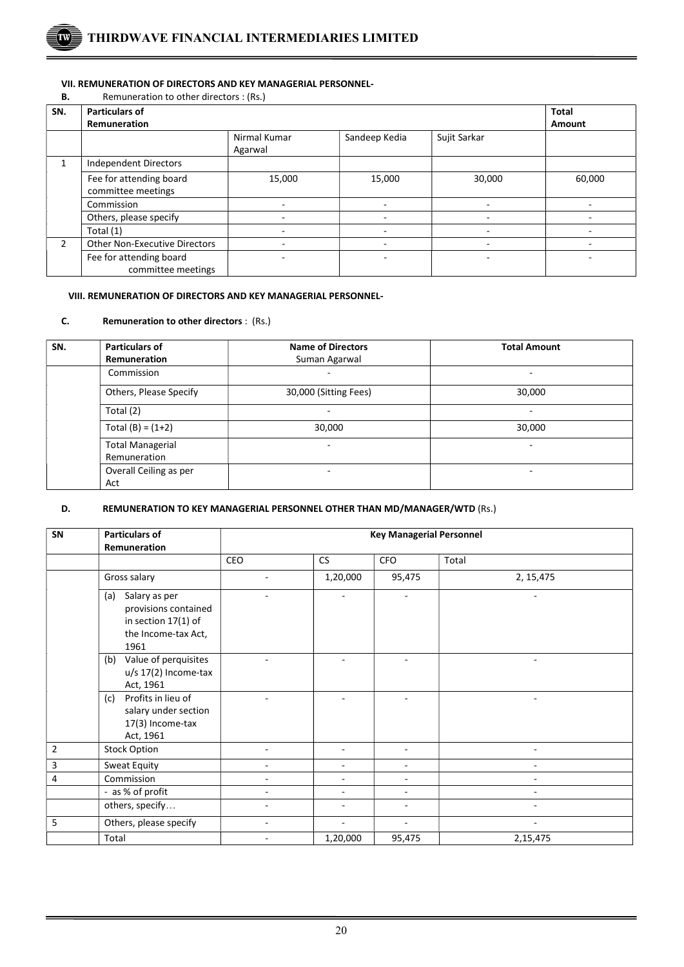

## VII. REMUNERATION OF DIRECTORS AND KEY MANAGERIAL PERSONNEL-

**B.** Remuneration to other directors : (Rs.)

 $\overline{a}$ 

| SN.           | <b>Particulars of</b>                         | <b>Total</b>            |               |              |        |
|---------------|-----------------------------------------------|-------------------------|---------------|--------------|--------|
|               | Remuneration                                  | Amount                  |               |              |        |
|               |                                               | Nirmal Kumar<br>Agarwal | Sandeep Kedia | Sujit Sarkar |        |
| 1             | <b>Independent Directors</b>                  |                         |               |              |        |
|               | Fee for attending board<br>committee meetings | 15,000                  | 15,000        | 30,000       | 60,000 |
|               | Commission                                    |                         |               |              |        |
|               | Others, please specify                        |                         |               |              |        |
|               | Total (1)                                     |                         |               |              |        |
| $\mathcal{P}$ | <b>Other Non-Executive Directors</b>          |                         |               |              |        |
|               | Fee for attending board<br>committee meetings |                         |               |              |        |

## VIII. REMUNERATION OF DIRECTORS AND KEY MANAGERIAL PERSONNEL-

## C. Remuneration to other directors : (Rs.)

| SN. | <b>Particulars of</b>                   | <b>Name of Directors</b> | <b>Total Amount</b> |  |
|-----|-----------------------------------------|--------------------------|---------------------|--|
|     | <b>Remuneration</b>                     | Suman Agarwal            |                     |  |
|     | Commission                              |                          |                     |  |
|     | Others, Please Specify                  | 30,000 (Sitting Fees)    | 30,000              |  |
|     | Total (2)                               |                          |                     |  |
|     | Total $(B) = (1+2)$                     | 30,000                   | 30,000              |  |
|     | <b>Total Managerial</b><br>Remuneration |                          |                     |  |
|     | Overall Ceiling as per                  | ۰                        | ۰                   |  |
|     | Act                                     |                          |                     |  |

## D. REMUNERATION TO KEY MANAGERIAL PERSONNEL OTHER THAN MD/MANAGER/WTD (Rs.)

| SN             | <b>Particulars of</b>                                                                              | <b>Key Managerial Personnel</b> |                          |                              |            |  |
|----------------|----------------------------------------------------------------------------------------------------|---------------------------------|--------------------------|------------------------------|------------|--|
|                | Remuneration                                                                                       | CEO                             | CS                       | <b>CFO</b>                   | Total      |  |
|                | Gross salary                                                                                       |                                 | 1,20,000                 | 95,475                       | 2, 15, 475 |  |
|                | Salary as per<br>(a)<br>provisions contained<br>in section 17(1) of<br>the Income-tax Act,<br>1961 |                                 |                          |                              |            |  |
|                | Value of perquisites<br>(b)<br>u/s 17(2) Income-tax<br>Act, 1961                                   |                                 |                          |                              |            |  |
|                | Profits in lieu of<br>(c)<br>salary under section<br>17(3) Income-tax<br>Act, 1961                 |                                 |                          |                              | ÷,         |  |
| $\overline{2}$ | <b>Stock Option</b>                                                                                |                                 |                          |                              |            |  |
| 3              | Sweat Equity                                                                                       |                                 |                          |                              |            |  |
| 4              | Commission                                                                                         | ۰                               | $\overline{\phantom{0}}$ | $\qquad \qquad \blacksquare$ |            |  |
|                | - as % of profit                                                                                   |                                 |                          | ۰                            |            |  |
|                | others, specify                                                                                    |                                 |                          |                              |            |  |
| 5              | Others, please specify                                                                             |                                 |                          | $\overline{a}$               |            |  |
|                | Total                                                                                              |                                 | 1,20,000                 | 95,475                       | 2,15,475   |  |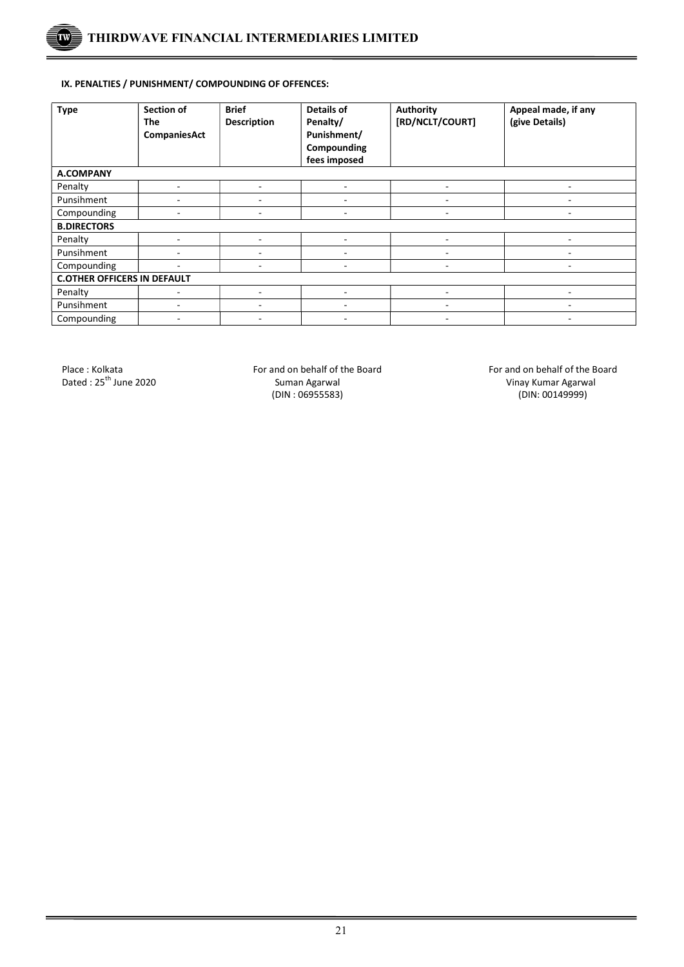

## IX. PENALTIES / PUNISHMENT/ COMPOUNDING OF OFFENCES:

| <b>Type</b>                        | <b>Section of</b><br>The<br>CompaniesAct | <b>Brief</b><br><b>Description</b> | Details of<br>Penalty/<br>Punishment/<br>Compounding<br>fees imposed | <b>Authority</b><br>[RD/NCLT/COURT] | Appeal made, if any<br>(give Details) |  |  |
|------------------------------------|------------------------------------------|------------------------------------|----------------------------------------------------------------------|-------------------------------------|---------------------------------------|--|--|
| <b>A.COMPANY</b>                   |                                          |                                    |                                                                      |                                     |                                       |  |  |
| Penalty                            | ۰                                        | ٠                                  | ٠                                                                    | ٠                                   |                                       |  |  |
| Punsihment                         |                                          | ٠                                  | ۰                                                                    | ٠                                   |                                       |  |  |
| Compounding                        |                                          | ٠                                  | ۰                                                                    |                                     |                                       |  |  |
| <b>B.DIRECTORS</b>                 |                                          |                                    |                                                                      |                                     |                                       |  |  |
| Penalty                            |                                          | ٠                                  | ٠                                                                    | ٠                                   |                                       |  |  |
| Punsihment                         |                                          | ٠                                  | ٠                                                                    | ٠                                   |                                       |  |  |
| Compounding                        | ٠                                        | ٠                                  | ۰                                                                    | ۰                                   | $\overline{\phantom{a}}$              |  |  |
| <b>C.OTHER OFFICERS IN DEFAULT</b> |                                          |                                    |                                                                      |                                     |                                       |  |  |
| Penalty                            |                                          | ٠                                  | ۰                                                                    | ۰                                   |                                       |  |  |
| Punsihment                         |                                          |                                    | ٠                                                                    |                                     |                                       |  |  |
| Compounding                        | ۰                                        | ٠                                  | ٠                                                                    | ۰                                   | $\overline{\phantom{a}}$              |  |  |

 $\overline{a}$ 

Dated : 25<sup>th</sup> June 2020 **Suman Agarwal** Suman Agarwal Suman Agarwal Vinay Kumar Agarwal (DIN: 06955583)  $(DIN: 06955583)$ 

Place : Kolkata **For and on behalf of the Board** For and on behalf of the Board For and on behalf of the Board